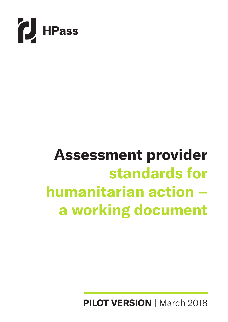

## **Assessment provider standards for humanitarian action – a working document**

**PILOT VERSION** | March 2018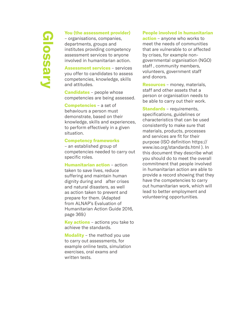# **Glossary**

#### **You (the assessment provider)**

– organisations, companies, departments, groups and institutes providing competency assessment services to anyone involved in humanitarian action.

**Assessment services** – services you offer to candidates to assess competencies, knowledge, skills and attitudes.

**Candidates** – people whose competencies are being assessed.

**Competencies** – a set of behaviours a person must demonstrate, based on their knowledge, skills and experiences, to perform effectively in a given situation.

#### **Competency frameworks**

– an established group of competencies needed to carry out specific roles.

**Humanitarian action** – action taken to save lives, reduce suffering and maintain human dignity during and after crises and natural disasters, as well as action taken to prevent and prepare for them. (Adapted from ALNAP's Evaluation of Humanitarian Action Guide 2016, page 369.)

**Key actions** – actions you take to achieve the standards.

**Modality** – the method you use to carry out assessments, for example online tests, simulation exercises, oral exams and written tests.

#### **People involved in humanitarian**

**action** – anyone who works to meet the needs of communities that are vulnerable to or affected by crises, for example nongovernmental organisation (NGO) staff , community members, volunteers, government staff and donors.

**Resources** – money, materials, staff and other assets that a person or organisation needs to be able to carry out their work.

**Standards** – requirements, specifications, guidelines or characteristics that can be used consistently to make sure that materials, products, processes and services are fit for their purpose (ISO definition https:// www.iso.org/standards.html ). In this document they describe what you should do to meet the overall commitment that people involved in humanitarian action are able to provide a record showing that they have the competencies to carry out humanitarian work, which will lead to better employment and volunteering opportunities.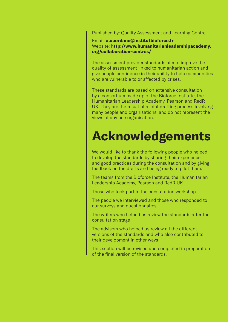Published by: Quality Assessment and Learning Centre

Email: **a.ouerdane@institutbioforce.fr** Website: h**ttp://www.humanitarianleadershipacademy. org/collaboration-centres/** 

The assessment provider standards aim to improve the quality of assessment linked to humanitarian action and give people confidence in their ability to help communities who are vulnerable to or affected by crises.

These standards are based on extensive consultation by a consortium made up of the Bioforce Institute, the Humanitarian Leadership Academy, Pearson and RedR UK. They are the result of a joint drafting process involving many people and organisations, and do not represent the views of any one organisation.

### **Acknowledgements**

We would like to thank the following people who helped to develop the standards by sharing their experience and good practices during the consultation and by giving feedback on the drafts and being ready to pilot them.

The teams from the Bioforce Institute, the Humanitarian Leadership Academy, Pearson and RedR UK

Those who took part in the consultation workshop

The people we interviewed and those who responded to our surveys and questionnaires

The writers who helped us review the standards after the consultation stage

The advisors who helped us review all the different versions of the standards and who also contributed to their development in other ways

This section will be revised and completed in preparation of the final version of the standards.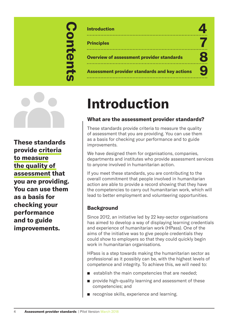## **Contents** Contents

| <b>Introduction</b>                                  |  |
|------------------------------------------------------|--|
| <b>Principles</b>                                    |  |
| <b>Overview of assessment provider standards</b>     |  |
| <b>Assessment provider standards and key actions</b> |  |



**These standards provide criteria to measure the quality of assessment that you are providing. You can use them as a basis for checking your performance and to guide improvements.** 

## **Introduction**

#### **What are the assessment provider standards?**

These standards provide criteria to measure the quality of assessment that you are providing. You can use them as a basis for checking your performance and to guide improvements.

We have designed them for organisations, companies, departments and institutes who provide assessment services to anyone involved in humanitarian action.

If you meet these standards, you are contributing to the overall commitment that people involved in humanitarian action are able to provide a record showing that they have the competencies to carry out humanitarian work, which will lead to better employment and volunteering opportunities.

#### **Background**

Since 2012, an initiative led by 22 key-sector organisations has aimed to develop a way of displaying learning credentials and experience of humanitarian work (HPass). One of the aims of the initiative was to give people credentials they could show to employers so that they could quickly begin work in humanitarian organisations.

HPass is a step towards making the humanitarian sector as professional as it possibly can be, with the highest levels of competence and integrity. To achieve this, we will need to:

- $\blacksquare$  establish the main competencies that are needed;
- $\blacksquare$  provide high-quality learning and assessment of these competencies; and
- **n** recognise skills, experience and learning.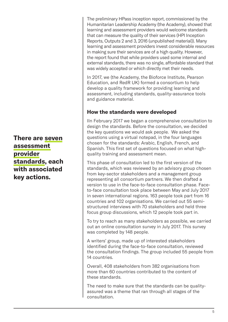**There are seven assessment provider standards, each with associated key actions.** 

The preliminary HPass inception report, commissioned by the Humanitarian Leadership Academy (the Academy), showed that learning and assessment providers would welcome standards that can measure the quality of their services (HPI Inception Reports, Outputs 2 and 3, 2016 (unpublished material)). Many learning and assessment providers invest considerable resources in making sure their services are of a high quality. However, the report found that while providers used some internal and external standards, there was no single, affordable standard that was widely accepted or which directly met their needs.

In 2017, we (the Academy, the Bioforce Institute, Pearson Education, and RedR UK) formed a consortium to help develop a quality framework for providing learning and assessment, including standards, quality-assurance tools and guidance material.

#### **How the standards were developed**

IIn February 2017 we began a comprehensive consultation to design the standards. Before the consultation, we decided the key questions we would ask people. We asked the questions using a virtual notepad, in the four languages chosen for the standards: Arabic, English, French, and Spanish. This first set of questions focused on what highquality training and assessment mean.

This phase of consultation led to the first version of the standards, which was reviewed by an advisory group chosen from key-sector stakeholders and a management group representing all consortium partners. We then drafted a version to use in the face-to-face consultation phase. Faceto-face consultation took place between May and July 2017 in seven international regions. 163 people took part from 16 countries and 102 organisations. We carried out 55 semistructured interviews with 70 stakeholders and held three focus group discussions, which 12 people took part in.

To try to reach as many stakeholders as possible, we carried out an online consultation survey in July 2017. This survey was completed by 148 people.

A writers' group, made up of interested stakeholders identified during the face-to-face consultation, reviewed the consultation findings. The group included 55 people from 14 countries.

Overall, 408 stakeholders from 382 organisations from more than 60 countries contributed to the content of these standards.

The need to make sure that the standards can be qualityassured was a theme that ran through all stages of the consultation.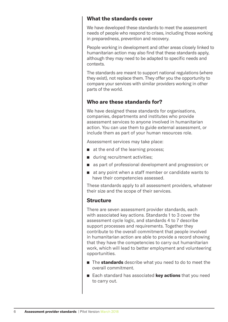#### **What the standards cover**

We have developed these standards to meet the assessment needs of people who respond to crises, including those working in preparedness, prevention and recovery.

People working in development and other areas closely linked to humanitarian action may also find that these standards apply, although they may need to be adapted to specific needs and contexts.

The standards are meant to support national regulations (where they exist), not replace them. They offer you the opportunity to compare your services with similar providers working in other parts of the world.

#### **Who are these standards for?**

We have designed these standards for organisations, companies, departments and institutes who provide assessment services to anyone involved in humanitarian action. You can use them to guide external assessment, or include them as part of your human resources role.

Assessment services may take place:

- $\blacksquare$  at the end of the learning process;
- during recruitment activities:
- as part of professional development and progression; or
- $\blacksquare$  at any point when a staff member or candidate wants to have their competencies assessed.

These standards apply to all assessment providers, whatever their size and the scope of their services.

#### **Structure**

There are seven assessment provider standards, each with associated key actions. Standards 1 to 3 cover the assessment cycle logic, and standards 4 to 7 describe support processes and requirements. Together they contribute to the overall commitment that people involved in humanitarian action are able to provide a record showing that they have the competencies to carry out humanitarian work, which will lead to better employment and volunteering opportunities.

- n The **standards** describe what you need to do to meet the overall commitment.
- Each standard has associated **key actions** that you need to carry out.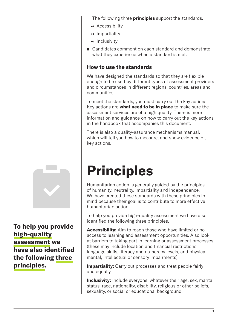The following three **principles** support the standards.

- Accessibility
- Impartiality
- $\bullet$  Inclusivity
- Candidates comment on each standard and demonstrate what they experience when a standard is met.

#### **How to use the standards**

We have designed the standards so that they are flexible enough to be used by different types of assessment providers and circumstances in different regions, countries, areas and communities.

To meet the standards, you must carry out the key actions. Key actions are **what need to be in place** to make sure the assessment services are of a high quality. There is more information and guidance on how to carry out the key actions in the handbook that accompanies this document.

There is also a quality-assurance mechanisms manual, which will tell you how to measure, and show evidence of, key actions.

## **Principles**

Humanitarian action is generally guided by the principles of humanity, neutrality, impartiality and independence. We have created these standards with these principles in mind because their goal is to contribute to more effective humanitarian action.

To help you provide high-quality assessment we have also identified the following three principles.

**Accessibility:** Aim to reach those who have limited or no access to learning and assessment opportunities. Also look at barriers to taking part in learning or assessment processes (these may include location and financial restrictions, language skills, literacy and numeracy levels, and physical, mental, intellectual or sensory impairments).

**Impartiality:** Carry out processes and treat people fairly and equally.

**Inclusivity:** Include everyone, whatever their age, sex, marital status, race, nationality, disability, religious or other beliefs, sexuality, or social or educational background.



**To help you provide high-quality assessment we have also identified the following three principles.**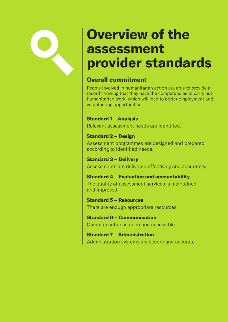### **Overview of the assessment provider standards**

#### **Overall commitment**

People involved in humanitarian action are able to provide a record showing that they have the competencies to carry out humanitarian work, which will lead to better employment and volunteering opportunities.

#### **Standard 1 – Analysis**

Relevant assessment needs are identified.

#### **Standard 2 – Design**

Assessment programmes are designed and prepared according to identified needs.

**Standard 3 – Delivery** Assessments are delivered effectively and accurately.

#### **Standard 4 – Evaluation and accountability** The quality of assessment services is maintained and improved.

**Standard 5 – Resources** There are enough appropriate resources.

**Standard 6 – Communication**  Communication is open and accessible.

**Standard 7 – Administration**  Administration systems are secure and accurate.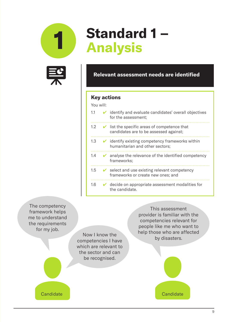



## **1 Standard 1 – Analysis**

#### **Relevant assessment needs are identified**

#### **Key actions**

You will:

| 1.1              |              | $\vee$ identify and evaluate candidates' overall objectives<br>for the assessment;                 |
|------------------|--------------|----------------------------------------------------------------------------------------------------|
| 1.2 <sup>°</sup> | $\mathbf{v}$ | list the specific areas of competence that<br>candidates are to be assessed against;               |
| 1.3              |              | $\vee$ identify existing competency frameworks within<br>humanitarian and other sectors;           |
| $1.4^{\circ}$    | V.           | analyse the relevance of the identified competency<br>frameworks;                                  |
| $1.5^{\circ}$    |              | $\triangleright$ select and use existing relevant competency<br>frameworks or create new ones; and |
| 1.6              |              | $\vee$ decide on appropriate assessment modalities for<br>the candidate.                           |

The competency framework helps me to understand the requirements for my job.

Now I know the competencies I have which are relevant to the sector and can be recognised.

This assessment provider is familiar with the competencies relevant for people like me who want to help those who are affected by disasters.

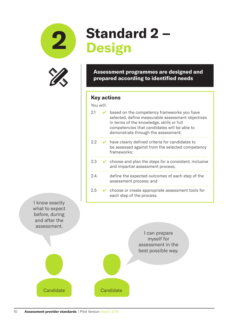



## **2 Standard 2 – Design**

#### **Assessment programmes are designed and prepared according to identified needs**

#### **Key actions**

You will:

| 2.1  | based on the competency frameworks you have<br>selected, define measurable assessment objectives<br>in terms of the knowledge, skills or full<br>competencies that candidates will be able to<br>demonstrate through the assessment; |
|------|--------------------------------------------------------------------------------------------------------------------------------------------------------------------------------------------------------------------------------------|
| 2.2  | $\triangleright$ have clearly defined criteria for candidates to<br>be assessed against from the selected competency<br>frameworks;                                                                                                  |
| 2.3  | $\triangleright$ choose and plan the steps for a consistent, inclusive<br>and impartial assessment process;                                                                                                                          |
| 2.4. | define the expected outcomes of each step of the<br>assessment process; and                                                                                                                                                          |
| 2.5  | $\triangleright$ choose or create appropriate assessment tools for<br>each step of the process.                                                                                                                                      |

I know exactly what to expect before, during and after the assessment.

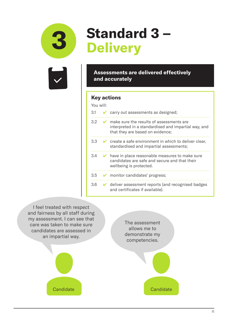

## **3 Standard 3 – Delivery**

**Assessments are delivered effectively and accurately**

#### **Key actions**

#### You will:

| 3.1 |              | carry out assessments as designed;                                                                                                          |
|-----|--------------|---------------------------------------------------------------------------------------------------------------------------------------------|
| 3.2 | $\mathbf{z}$ | make sure the results of assessments are<br>interpreted in a standardised and impartial way, and<br>that they are based on evidence;        |
| 3.3 |              | $\triangleright$ create a safe environment in which to deliver clear,<br>standardised and impartial assessments;                            |
| 3.4 |              | $\triangleright$ have in place reasonable measures to make sure<br>candidates are safe and secure and that their<br>wellbeing is protected. |
| 3.5 |              | monitor candidates' progress;                                                                                                               |
| 3.6 |              | $\vee$ deliver assessment reports (and recognised badges<br>and certificates if available).                                                 |

I feel treated with respect and fairness by all staff during my assessment. I can see that care was taken to make sure candidates are assessed in an impartial way.



The assessment allows me to demonstrate my competencies.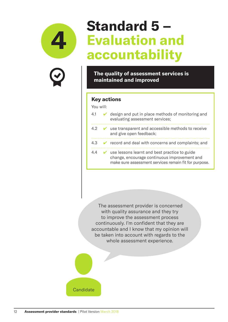



### **Standard 5 – Evaluation and accountability**

**The quality of assessment services is maintained and improved** 

#### **Key actions**

| You will: |   |                                                                                                                                                        |
|-----------|---|--------------------------------------------------------------------------------------------------------------------------------------------------------|
| 4.1       |   | $\vee$ design and put in place methods of monitoring and<br>evaluating assessment services;                                                            |
| 4.2       | V | use transparent and accessible methods to receive<br>and give open feedback;                                                                           |
| 4.3       |   | $\mathcal V$ record and deal with concerns and complaints; and                                                                                         |
| 44        |   | use lessons learnt and best practice to guide<br>change, encourage continuous improvement and<br>make sure assessment services remain fit for purpose. |

 The assessment provider is concerned with quality assurance and they try to improve the assessment process continuously. I'm confident that they are accountable and I know that my opinion will be taken into account with regards to the whole assessment experience.

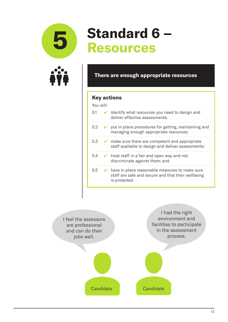



## **5 Standard 6 – Resources**

#### **There are enough appropriate resources**

#### **Key actions**



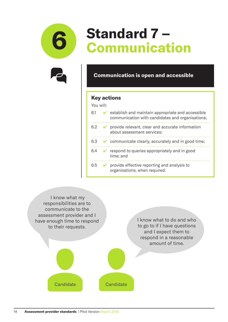



## **6 Standard 7 – Communication**

#### **Communication is open and accessible**

#### **Key actions**



| 6.1 |        | $\triangleright$ establish and maintain appropriate and accessible<br>communication with candidates and organisations; |
|-----|--------|------------------------------------------------------------------------------------------------------------------------|
| 6.2 |        | $\triangleright$ provide relevant, clear and accurate information<br>about assessment services;                        |
| 6.3 |        | $\bullet$ communicate clearly, accurately and in good time;                                                            |
| 6.4 | $\sim$ | respond to queries appropriately and in good<br>time; and                                                              |
| 6.5 |        | $\triangleright$ provide effective reporting and analysis to<br>organisations, when required.                          |

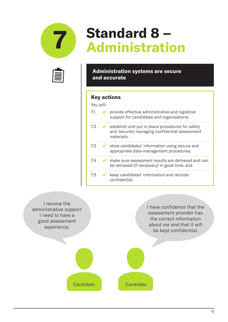



## **7 Standard 8 – Administration**

#### **Administration systems are secure and accurate**

#### **Key actions**

| You will: |    |                                                                                                                 |
|-----------|----|-----------------------------------------------------------------------------------------------------------------|
| 7.1       |    | provide effective administrative and logistical<br>support for candidates and organisations;                    |
| 7.2       | V. | establish and put in place procedures for safely<br>and securely managing confidential assessment<br>materials; |
| 7.3       |    | store candidates' information using secure and<br>appropriate data-management procedures;                       |
| 7.4       |    | make sure assessment results are delivered and can<br>be retrieved (if necessary) in good time; and             |
| 7.5       |    | keep candidates' information and records<br>confidential.                                                       |